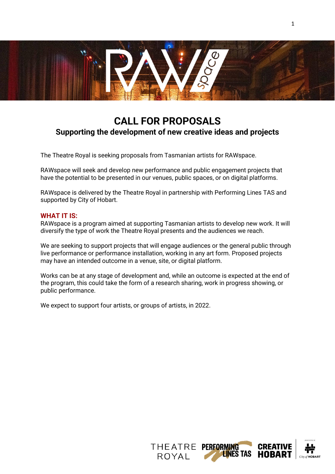

1

# **CALL FOR PROPOSALS Supporting the development of new creative ideas and projects**

The Theatre Royal is seeking proposals from Tasmanian artists for RAWspace.

RAWspace will seek and develop new performance and public engagement projects that have the potential to be presented in our venues, public spaces, or on digital platforms.

RAWspace is delivered by the Theatre Royal in partnership with Performing Lines TAS and supported by City of Hobart.

#### **WHAT IT IS:**

RAWspace is a program aimed at supporting Tasmanian artists to develop new work. It will diversify the type of work the Theatre Royal presents and the audiences we reach.

We are seeking to support projects that will engage audiences or the general public through live performance or performance installation, working in any art form. Proposed projects may have an intended outcome in a venue, site, or digital platform.

Works can be at any stage of development and, while an outcome is expected at the end of the program, this could take the form of a research sharing, work in progress showing, or public performance.

We expect to support four artists, or groups of artists, in 2022.

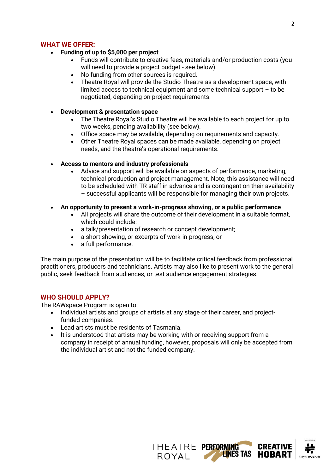## **WHAT WE OFFER:**

- **Funding of up to \$5,000 per project**
	- Funds will contribute to creative fees, materials and/or production costs (you will need to provide a project budget - see below).
	- No funding from other sources is required.
	- Theatre Royal will provide the Studio Theatre as a development space, with limited access to technical equipment and some technical support – to be negotiated, depending on project requirements.
- **Development & presentation space**
	- The Theatre Royal's Studio Theatre will be available to each project for up to two weeks, pending availability (see below).
	- Office space may be available, depending on requirements and capacity.
	- Other Theatre Royal spaces can be made available, depending on project needs, and the theatre's operational requirements.

## • **Access to mentors and industry professionals**

- Advice and support will be available on aspects of performance, marketing, technical production and project management. Note, this assistance will need to be scheduled with TR staff in advance and is contingent on their availability – successful applicants will be responsible for managing their own projects.
- **An opportunity to present a work-in-progress showing, or a public performance**
	- All projects will share the outcome of their development in a suitable format, which could include:
	- a talk/presentation of research or concept development;
	- a short showing, or excerpts of work-in-progress; or
	- a full performance.

The main purpose of the presentation will be to facilitate critical feedback from professional practitioners, producers and technicians. Artists may also like to present work to the general public, seek feedback from audiences, or test audience engagement strategies.

## **WHO SHOULD APPLY?**

The RAWspace Program is open to:

- Individual artists and groups of artists at any stage of their career, and projectfunded companies.
- Lead artists must be residents of Tasmania.
- It is understood that artists may be working with or receiving support from a company in receipt of annual funding, however, proposals will only be accepted from the individual artist and not the funded company.

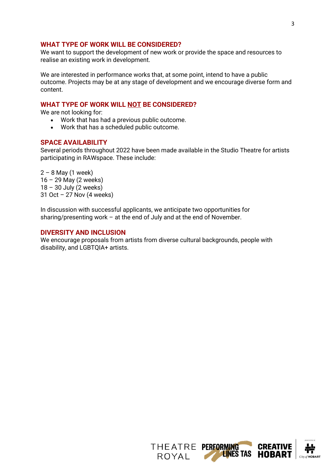## **WHAT TYPE OF WORK WILL BE CONSIDERED?**

We want to support the development of new work or provide the space and resources to realise an existing work in development.

We are interested in performance works that, at some point, intend to have a public outcome. Projects may be at any stage of development and we encourage diverse form and content.

## **WHAT TYPE OF WORK WILL NOT BE CONSIDERED?**

We are not looking for:

- Work that has had a previous public outcome.
- Work that has a scheduled public outcome.

#### **SPACE AVAILABILITY**

Several periods throughout 2022 have been made available in the Studio Theatre for artists participating in RAWspace. These include:

 $2 - 8$  May (1 week) 16 – 29 May (2 weeks)  $18 - 30$  July (2 weeks) 31 Oct – 27 Nov (4 weeks)

In discussion with successful applicants, we anticipate two opportunities for sharing/presenting work – at the end of July and at the end of November.

## **DIVERSITY AND INCLUSION**

We encourage proposals from artists from diverse cultural backgrounds, people with disability, and LGBTQIA+ artists.

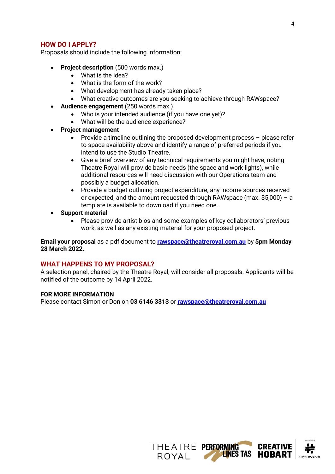Proposals should include the following information:

- **Project description** (500 words max.)
	- What is the idea?
	- What is the form of the work?
	- What development has already taken place?
	- What creative outcomes are you seeking to achieve through RAWspace?
	- **Audience engagement** (250 words max.)
		- Who is your intended audience (if you have one yet)?
		- What will be the audience experience?
- **Project management**
	- Provide a timeline outlining the proposed development process please refer to space availability above and identify a range of preferred periods if you intend to use the Studio Theatre.
	- Give a brief overview of any technical requirements you might have, noting Theatre Royal will provide basic needs (the space and work lights), while additional resources will need discussion with our Operations team and possibly a budget allocation.
	- Provide a budget outlining project expenditure, any income sources received or expected, and the amount requested through RAWspace (max.  $$5,000$ ) – a template is available to download if you need one.
- **Support material**
	- Please provide artist bios and some examples of key collaborators' previous work, as well as any existing material for your proposed project.

**Email your proposal** as a pdf document to **[rawspace@theatreroyal.com.au](mailto:rawspace@theatreroyal.com.au)** by **5pm Monday 28 March 2022.**

## **WHAT HAPPENS TO MY PROPOSAL?**

A selection panel, chaired by the Theatre Royal, will consider all proposals. Applicants will be notified of the outcome by 14 April 2022.

#### **FOR MORE INFORMATION**

Please contact Simon or Don on **03 6146 3313** or **[rawspace@theatreroyal.com.au](mailto:rawspace@theatreroyal.com.au)**

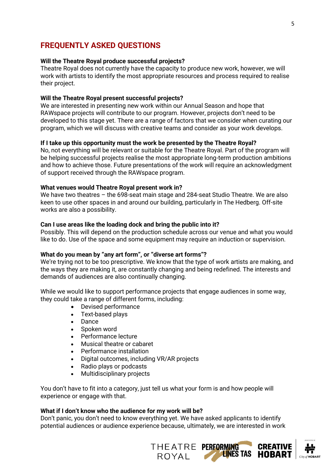## **FREQUENTLY ASKED QUESTIONS**

#### **Will the Theatre Royal produce successful projects?**

Theatre Royal does not currently have the capacity to produce new work, however, we will work with artists to identify the most appropriate resources and process required to realise their project.

#### **Will the Theatre Royal present successful projects?**

We are interested in presenting new work within our Annual Season and hope that RAWspace projects will contribute to our program. However, projects don't need to be developed to this stage yet. There are a range of factors that we consider when curating our program, which we will discuss with creative teams and consider as your work develops.

#### **If I take up this opportunity must the work be presented by the Theatre Royal?**

No, not everything will be relevant or suitable for the Theatre Royal. Part of the program will be helping successful projects realise the most appropriate long-term production ambitions and how to achieve those. Future presentations of the work will require an acknowledgment of support received through the RAWspace program.

#### **What venues would Theatre Royal present work in?**

We have two theatres – the 698-seat main stage and 284-seat Studio Theatre. We are also keen to use other spaces in and around our building, particularly in The Hedberg. Off-site works are also a possibility.

#### **Can I use areas like the loading dock and bring the public into it?**

Possibly. This will depend on the production schedule across our venue and what you would like to do. Use of the space and some equipment may require an induction or supervision.

#### **What do you mean by "any art form", or "diverse art forms"?**

We're trying not to be too prescriptive. We know that the type of work artists are making, and the ways they are making it, are constantly changing and being redefined. The interests and demands of audiences are also continually changing.

While we would like to support performance projects that engage audiences in some way, they could take a range of different forms, including:

- Devised performance
- Text-based plays
- Dance
- Spoken word
- Performance lecture
- Musical theatre or cabaret
- Performance installation
- Digital outcomes, including VR/AR projects
- Radio plays or podcasts
- Multidisciplinary projects

You don't have to fit into a category, just tell us what your form is and how people will experience or engage with that.

#### **What if I don't know who the audience for my work will be?**

Don't panic, you don't need to know everything yet. We have asked applicants to identify potential audiences or audience experience because, ultimately, we are interested in work

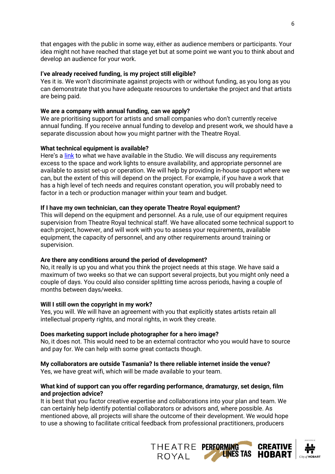that engages with the public in some way, either as audience members or participants. Your idea might not have reached that stage yet but at some point we want you to think about and develop an audience for your work.

## **I've already received funding, is my project still eligible?**

Yes it is. We won't discriminate against projects with or without funding, as you long as you can demonstrate that you have adequate resources to undertake the project and that artists are being paid.

## **We are a company with annual funding, can we apply?**

We are prioritising support for artists and small companies who don't currently receive annual funding. If you receive annual funding to develop and present work, we should have a separate discussion about how you might partner with the Theatre Royal.

## **What technical equipment is available?**

Here's a [link](https://www.theatreroyal.com.au/about/hiring-theatre-royal) to what we have available in the Studio. We will discuss any requirements excess to the space and work lights to ensure availability, and appropriate personnel are available to assist set-up or operation. We will help by providing in-house support where we can, but the extent of this will depend on the project. For example, if you have a work that has a high level of tech needs and requires constant operation, you will probably need to factor in a tech or production manager within your team and budget.

## **If I have my own technician, can they operate Theatre Royal equipment?**

This will depend on the equipment and personnel. As a rule, use of our equipment requires supervision from Theatre Royal technical staff. We have allocated some technical support to each project, however, and will work with you to assess your requirements, available equipment, the capacity of personnel, and any other requirements around training or supervision.

## **Are there any conditions around the period of development?**

No, it really is up you and what you think the project needs at this stage. We have said a maximum of two weeks so that we can support several projects, but you might only need a couple of days. You could also consider splitting time across periods, having a couple of months between days/weeks.

## **Will I still own the copyright in my work?**

Yes, you will. We will have an agreement with you that explicitly states artists retain all intellectual property rights, and moral rights, in work they create.

## **Does marketing support include photographer for a hero image?**

No, it does not. This would need to be an external contractor who you would have to source and pay for. We can help with some great contacts though.

## **My collaborators are outside Tasmania? Is there reliable internet inside the venue?**

Yes, we have great wifi, which will be made available to your team.

## **What kind of support can you offer regarding performance, dramaturgy, set design, film and projection advice?**

It is best that you factor creative expertise and collaborations into your plan and team. We can certainly help identify potential collaborators or advisors and, where possible. As mentioned above, all projects will share the outcome of their development. We would hope to use a showing to facilitate critical feedback from professional practitioners, producers